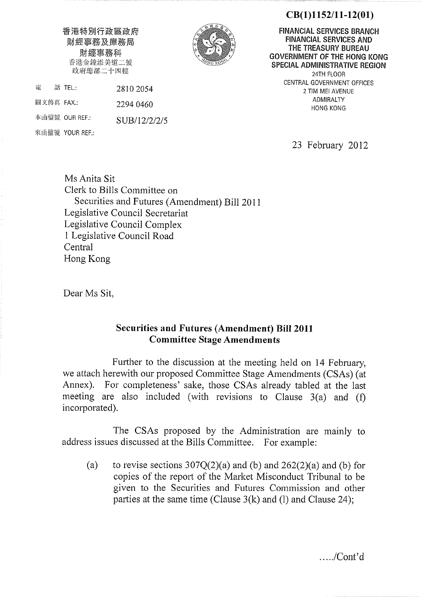# $CB(1)1152/11-12(01)$

香港特別行政區政府 財經事務及庫務局 財經事務科 香港金鐘添美道二號 政府總部二十四樓

2810 2054

2294 0460

SUB/12/2/2/5

電

話 TEL:

本函檔號 OUR REF.:

來函檔號 YOUR REF.:

圖文傳真 FAX.:



**FINANCIAL SERVICES BRANCH FINANCIAL SERVICES AND** THE TREASURY BUREAU GOVERNMENT OF THE HONG KONG **SPECIAL ADMINISTRATIVE REGION** 24TH FLOOR CENTRAL GOVERNMENT OFFICES 2 TIM MEI AVENUE **ADMIRALTY HONG KONG** 

23 February 2012

Ms Anita Sit Clerk to Bills Committee on Securities and Futures (Amendment) Bill 2011 Legislative Council Secretariat Legislative Council Complex 1 Legislative Council Road Central Hong Kong

Dear Ms Sit.

# **Securities and Futures (Amendment) Bill 2011 Committee Stage Amendments**

Further to the discussion at the meeting held on 14 February, we attach herewith our proposed Committee Stage Amendments (CSAs) (at Annex). For completeness' sake, those CSAs already tabled at the last meeting are also included (with revisions to Clause  $3(a)$  and (f) incorporated).

The CSAs proposed by the Administration are mainly to address issues discussed at the Bills Committee. For example:

to revise sections  $307Q(2)(a)$  and (b) and  $262(2)(a)$  and (b) for  $(a)$ copies of the report of the Market Misconduct Tribunal to be given to the Securities and Futures Commission and other parties at the same time (Clause  $3(k)$  and (1) and Clause 24);

 $\dots$ /Cont'd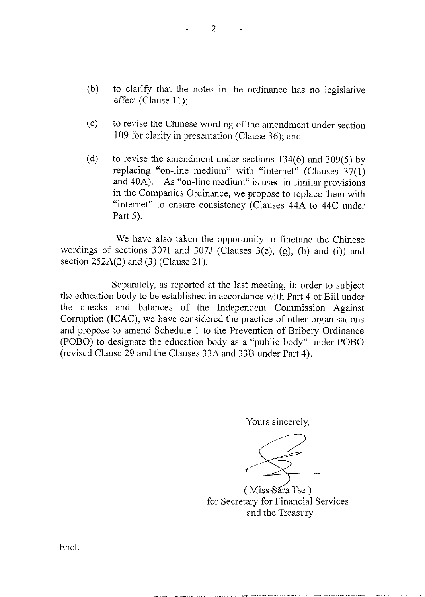$(b)$ to clarify that the notes in the ordinance has no legislative effect (Clause 11):

 $\overline{2}$ 

- to revise the Chinese wording of the amendment under section  $(c)$ 109 for clarity in presentation (Clause 36); and
- to revise the amendment under sections  $134(6)$  and  $309(5)$  by  $(d)$ replacing "on-line medium" with "internet" (Clauses 37(1) and 40A). As "on-line medium" is used in similar provisions in the Companies Ordinance, we propose to replace them with "internet" to ensure consistency (Clauses 44A to 44C under Part 5).

We have also taken the opportunity to finetune the Chinese wordings of sections 307I and 307J (Clauses 3(e),  $(g)$ ,  $(h)$  and  $(i)$ ) and section  $252A(2)$  and (3) (Clause 21).

Separately, as reported at the last meeting, in order to subject the education body to be established in accordance with Part 4 of Bill under the checks and balances of the Independent Commission Against Corruption (ICAC), we have considered the practice of other organisations and propose to amend Schedule 1 to the Prevention of Bribery Ordinance (POBO) to designate the education body as a "public body" under POBO (revised Clause 29 and the Clauses 33A and 33B under Part 4).

Yours sincerely,

(Miss-Sara Tse) for Secretary for Financial Services and the Treasury

Encl.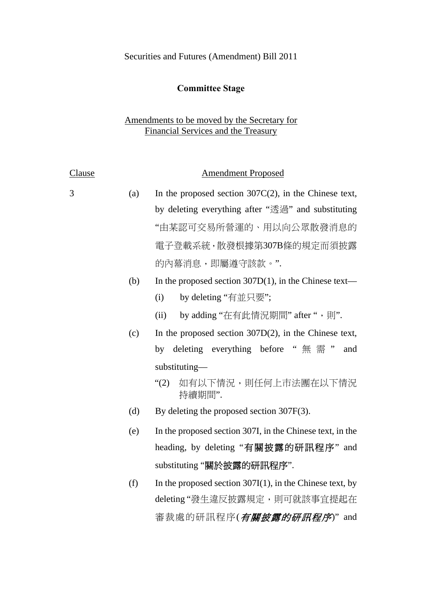# Securities and Futures (Amendment) Bill 2011

# **Committee Stage**

# Amendments to be moved by the Secretary for Financial Services and the Treasury

| <b>Clause</b> |     | <b>Amendment Proposed</b>                                   |  |  |
|---------------|-----|-------------------------------------------------------------|--|--|
| 3             | (a) | In the proposed section $307C(2)$ , in the Chinese text,    |  |  |
|               |     | by deleting everything after "透過" and substituting          |  |  |
|               |     | "由某認可交易所營運的、用以向公眾散發消息的                                      |  |  |
|               |     | 電子登載系統,散發根據第307B條的規定而須披露                                    |  |  |
|               |     | 的內幕消息,即屬遵守該款。".                                             |  |  |
|               | (b) | In the proposed section $307D(1)$ , in the Chinese text—    |  |  |
|               |     | by deleting "有並只要";<br>(i)                                  |  |  |
|               |     | by adding "在有此情況期間" after ", 則".<br>(ii)                    |  |  |
|               | (c) | In the proposed section $307D(2)$ , in the Chinese text,    |  |  |
|               |     | deleting everything before "無需"<br>by<br>and                |  |  |
|               |     | substituting-                                               |  |  |
|               |     | 如有以下情況,則任何上市法團在以下情況<br>$\degree(2)$<br>持續期間".               |  |  |
|               | (d) | By deleting the proposed section $307F(3)$ .                |  |  |
|               | (e) | In the proposed section 307I, in the Chinese text, in the   |  |  |
|               |     | heading, by deleting "有關披露的研訊程序" and                        |  |  |
|               |     | substituting "關於披露的研訊程序".                                   |  |  |
|               | (f) | In the proposed section $307I(1)$ , in the Chinese text, by |  |  |
|               |     | deleting"發生違反披露規定,則可就該事宜提起在                                 |  |  |
|               |     | 審裁處的研訊程序( <i>有關披露的研訊程序</i> )" and                           |  |  |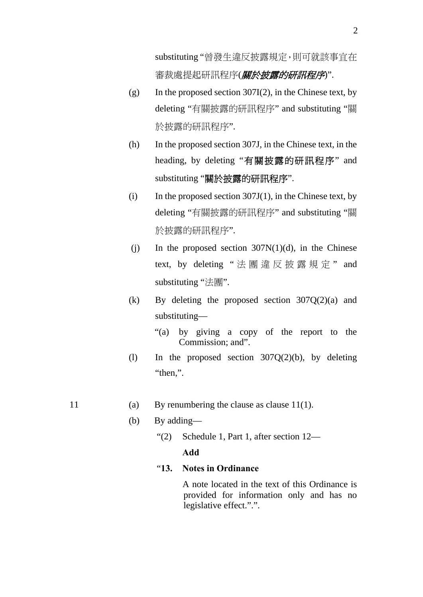substituting "曾發生違反披露規定,則可就該事宜在 審裁處提起研訊程序(*關於披露的研訊程序*)".

- (g) In the proposed section 307I(2), in the Chinese text, by deleting "有關披露的研訊程序" and substituting "關 於披露的研訊程序".
- (h) In the proposed section 307J, in the Chinese text, in the heading, by deleting "有關披露的研訊程序" and substituting "關於披露的研訊程序".
- (i) In the proposed section  $307J(1)$ , in the Chinese text, by deleting "有關披露的研訊程序" and substituting "關 於披露的研訊程序".
- (i) In the proposed section  $307N(1)(d)$ , in the Chinese text, by deleting " 法團違反披露規定 " and substituting "法團".
- (k) By deleting the proposed section 307Q(2)(a) and substituting—
	- "(a) by giving a copy of the report to the Commission; and".
- (l) In the proposed section 307Q(2)(b), by deleting "then.".
- 11 (a) By renumbering the clause as clause 11(1).
	- (b) By adding—
		- "(2) Schedule 1, Part 1, after section 12— **Add**

#### "**13. Notes in Ordinance**

A note located in the text of this Ordinance is provided for information only and has no legislative effect.".".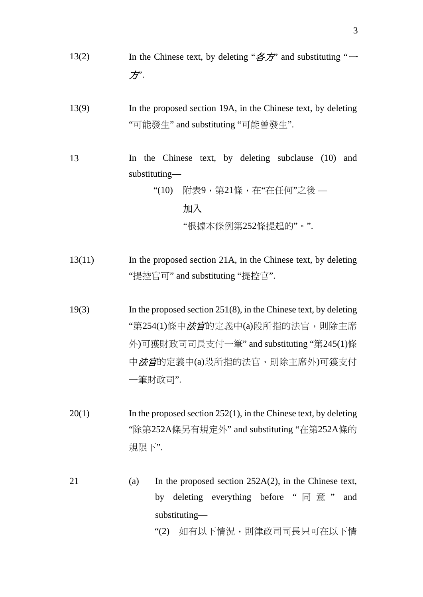- 13(2) In the Chinese text, by deleting " $\hat{\mathcal{B}}\hat{\mathcal{F}}$ " and substituting " $\rightarrow$ 方".
- 13(9) In the proposed section 19A, in the Chinese text, by deleting "可能發生" and substituting "可能曾發生".
- 13 In the Chinese text, by deleting subclause (10) and substituting—

"(10) 附表9,第21條,在"在任何"之後 —

# 加入

"根據本條例第252條提起的"。".

- 13(11) In the proposed section 21A, in the Chinese text, by deleting "提控官可" and substituting "提控官".
- 19(3) In the proposed section 251(8), in the Chinese text, by deleting "第254(1)條中*法官*的定義中(a)段所指的法官,則除主席 外)可獲財政司司長支付一筆" and substituting "第245(1)條 中*法官*的定義中(a)段所指的法官,則除主席外)可獲支付 一筆財政司".
- 20(1) In the proposed section 252(1), in the Chinese text, by deleting "除第252A條另有規定外" and substituting "在第252A條的 規限下".
- 21 (a) In the proposed section 252A(2), in the Chinese text, by deleting everything before " 同 意 " and substituting—

"(2) 如有以下情況,則律政司司長只可在以下情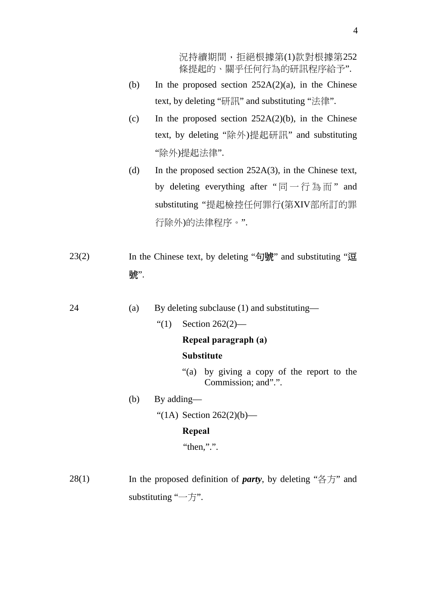況持續期間,拒絕根據第(1)款對根據第252 條提起的、關乎任何行為的研訊程序給予".

- (b) In the proposed section  $252A(2)(a)$ , in the Chinese text, by deleting "研訊" and substituting "法律".
- (c) In the proposed section  $252A(2)(b)$ , in the Chinese text, by deleting "除外)提起研訊" and substituting "除外)提起法律".
- (d) In the proposed section 252A(3), in the Chinese text, by deleting everything after "同一行為而" and substituting "提起檢控任何罪行(第XIV部所訂的罪 行除外)的法律程序。".
- 23(2) In the Chinese text, by deleting "句號" and substituting "逗 號".

24 (a) By deleting subclause (1) and substituting—

"(1) Section 262(2)—

## **Repeal paragraph (a)**

## **Substitute**

- "(a) by giving a copy of the report to the Commission; and".".
- (b) By adding—

"(1A) Section  $262(2)(b)$ —

#### **Repeal**

```
"then,".".
```
28(1) In the proposed definition of *party*, by deleting "各方" and substituting "一方".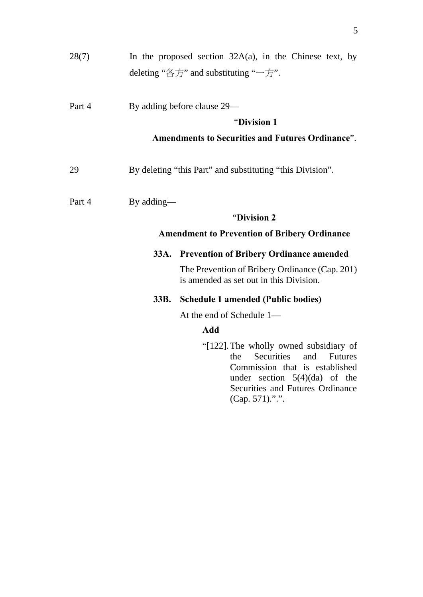| 28(7)  |            | In the proposed section $32A(a)$ , in the Chinese text, by<br>deleting " $\&$ $\overline{5}$ " and substituting " $\rightarrow$ $\overline{5}$ ".                                                                       |  |  |  |
|--------|------------|-------------------------------------------------------------------------------------------------------------------------------------------------------------------------------------------------------------------------|--|--|--|
| Part 4 |            | By adding before clause 29—                                                                                                                                                                                             |  |  |  |
|        |            | "Division 1                                                                                                                                                                                                             |  |  |  |
|        |            | <b>Amendments to Securities and Futures Ordinance".</b>                                                                                                                                                                 |  |  |  |
| 29     |            | By deleting "this Part" and substituting "this Division".                                                                                                                                                               |  |  |  |
| Part 4 | By adding— |                                                                                                                                                                                                                         |  |  |  |
|        |            | "Division 2                                                                                                                                                                                                             |  |  |  |
|        |            | <b>Amendment to Prevention of Bribery Ordinance</b>                                                                                                                                                                     |  |  |  |
|        | 33A.       | <b>Prevention of Bribery Ordinance amended</b>                                                                                                                                                                          |  |  |  |
|        |            | The Prevention of Bribery Ordinance (Cap. 201)<br>is amended as set out in this Division.                                                                                                                               |  |  |  |
|        | 33B.       | <b>Schedule 1 amended (Public bodies)</b>                                                                                                                                                                               |  |  |  |
|        |            | At the end of Schedule 1-                                                                                                                                                                                               |  |  |  |
|        |            | <b>Add</b>                                                                                                                                                                                                              |  |  |  |
|        |            | "[122]. The wholly owned subsidiary of<br><b>Securities</b><br>and<br>the<br><b>Futures</b><br>Commission that is established<br>under section $5(4)(da)$ of the<br>Securities and Futures Ordinance<br>(Cap. 571).".". |  |  |  |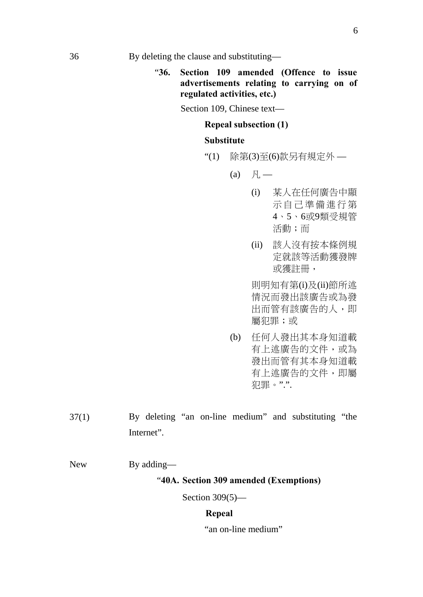"**36. Section 109 amended (Offence to issue advertisements relating to carrying on of regulated activities, etc.)** 

Section 109, Chinese text—

#### **Repeal subsection (1)**

#### **Substitute**

- "(1) 除第(3)至(6)款另有規定外
	- $(a) \quad \mathbb{R}$ 
		- (i) 某人在任何廣告中顯 示自己準備進行第 4、5、6或9類受規管 活動;而
		- (ii) 該人沒有按本條例規 定就該等活動獲發牌 或獲註冊,

則明知有第(i)及(ii)節所述 情況而發出該廣告或為發 出而管有該廣告的人,即 屬犯罪;或

- (b) 任何人發出其本身知道載 有上述廣告的文件,或為 發出而管有其本身知道載 有上述廣告的文件,即屬 犯罪。".".
- 37(1) By deleting "an on-line medium" and substituting "the Internet".

New By adding—

#### "**40A. Section 309 amended (Exemptions)**

Section 309(5)—

#### **Repeal**

"an on-line medium"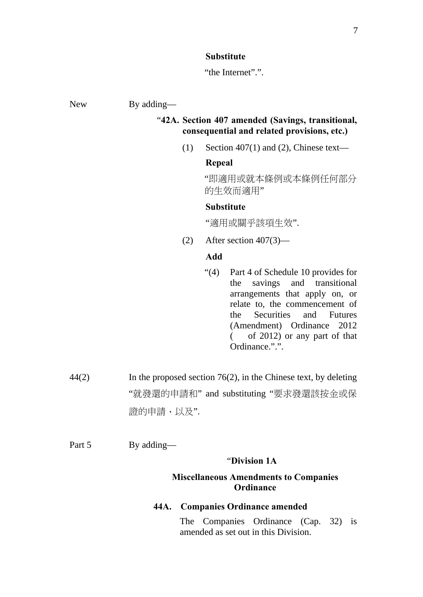#### **Substitute**

"the Internet".".

New By adding—

# "**42A. Section 407 amended (Savings, transitional, consequential and related provisions, etc.)**

(1) Section 407(1) and (2), Chinese text—

#### **Repeal**

"即適用或就本條例或本條例任何部分 的生效而適用"

## **Substitute**

"適用或關乎該項生效".

(2) After section  $407(3)$ —

# **Add**

- "(4) Part 4 of Schedule 10 provides for the savings and transitional arrangements that apply on, or relate to, the commencement of the Securities and Futures (Amendment) Ordinance 2012 ( of 2012) or any part of that Ordinance.".".
- 44(2) In the proposed section 76(2), in the Chinese text, by deleting "就發還的申請和" and substituting "要求發還該按金或保 證的申請,以及".

Part 5 By adding—

#### "**Division 1A**

# **Miscellaneous Amendments to Companies Ordinance**

## **44A. Companies Ordinance amended**

The Companies Ordinance (Cap. 32) is amended as set out in this Division.